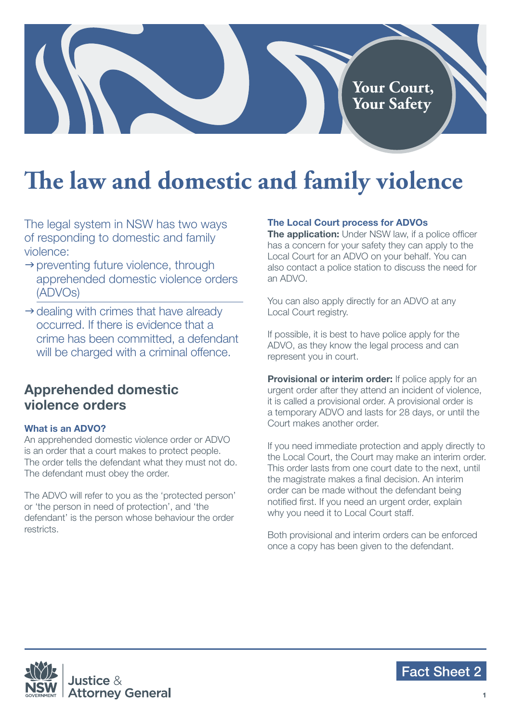# **Your Court, Your Safety**

# **The law and domestic and family violence**

The legal system in NSW has two ways of responding to domestic and family violence:

- $\rightarrow$  preventing future violence, through apprehended domestic violence orders (ADVOs)
- $\rightarrow$  dealing with crimes that have already occurred. If there is evidence that a crime has been committed, a defendant will be charged with a criminal offence.

# **Apprehended domestic violence orders**

### **What is an ADVO?**

An apprehended domestic violence order or ADVO is an order that a court makes to protect people. The order tells the defendant what they must not do. The defendant must obey the order.

The ADVO will refer to you as the 'protected person' or 'the person in need of protection', and 'the defendant' is the person whose behaviour the order restricts.

### **The Local Court process for ADVOs**

**The application:** Under NSW law, if a police officer has a concern for your safety they can apply to the Local Court for an ADVO on your behalf. You can also contact a police station to discuss the need for an ADVO.

You can also apply directly for an ADVO at any Local Court registry.

If possible, it is best to have police apply for the ADVO, as they know the legal process and can represent you in court.

**Provisional or interim order:** If police apply for an urgent order after they attend an incident of violence, it is called a provisional order. A provisional order is a temporary ADVO and lasts for 28 days, or until the Court makes another order.

If you need immediate protection and apply directly to the Local Court, the Court may make an interim order. This order lasts from one court date to the next, until the magistrate makes a final decision. An interim order can be made without the defendant being notified first. If you need an urgent order, explain why you need it to Local Court staff.

Both provisional and interim orders can be enforced once a copy has been given to the defendant.



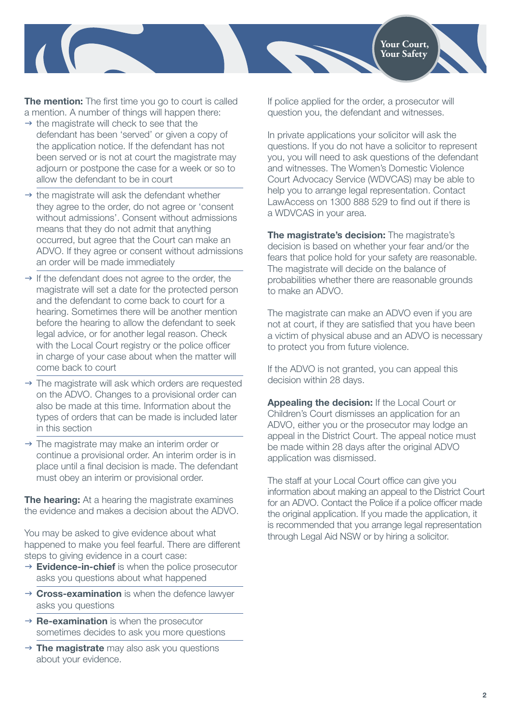

**The mention:** The first time you go to court is called a mention. A number of things will happen there:

- $\rightarrow$  the magistrate will check to see that the defendant has been 'served' or given a copy of the application notice. If the defendant has not been served or is not at court the magistrate may adjourn or postpone the case for a week or so to allow the defendant to be in court
- $\rightarrow$  the magistrate will ask the defendant whether they agree to the order, do not agree or 'consent without admissions'. Consent without admissions means that they do not admit that anything occurred, but agree that the Court can make an ADVO. If they agree or consent without admissions an order will be made immediately
- $\rightarrow$  If the defendant does not agree to the order, the magistrate will set a date for the protected person and the defendant to come back to court for a hearing. Sometimes there will be another mention before the hearing to allow the defendant to seek legal advice, or for another legal reason. Check with the Local Court registry or the police officer in charge of your case about when the matter will come back to court
- $\rightarrow$  The magistrate will ask which orders are requested on the ADVO. Changes to a provisional order can also be made at this time. Information about the types of orders that can be made is included later in this section
- $\rightarrow$  The magistrate may make an interim order or continue a provisional order. An interim order is in place until a final decision is made. The defendant must obey an interim or provisional order.

**The hearing:** At a hearing the magistrate examines the evidence and makes a decision about the ADVO.

You may be asked to give evidence about what happened to make you feel fearful. There are different steps to giving evidence in a court case:

- → **Evidence-in-chief** is when the police prosecutor asks you questions about what happened
- → **Cross-examination** is when the defence lawyer asks you questions
- → **Re-examination** is when the prosecutor sometimes decides to ask you more questions
- → **The magistrate** may also ask you questions about your evidence.

If police applied for the order, a prosecutor will question you, the defendant and witnesses.

In private applications your solicitor will ask the questions. If you do not have a solicitor to represent you, you will need to ask questions of the defendant and witnesses. The Women's Domestic Violence Court Advocacy Service (WDVCAS) may be able to help you to arrange legal representation. Contact LawAccess on 1300 888 529 to find out if there is a WDVCAS in your area.

**The magistrate's decision:** The magistrate's decision is based on whether your fear and/or the fears that police hold for your safety are reasonable. The magistrate will decide on the balance of probabilities whether there are reasonable grounds to make an ADVO.

The magistrate can make an ADVO even if you are not at court, if they are satisfied that you have been a victim of physical abuse and an ADVO is necessary to protect you from future violence.

If the ADVO is not granted, you can appeal this decision within 28 days.

**Appealing the decision:** If the Local Court or Children's Court dismisses an application for an ADVO, either you or the prosecutor may lodge an appeal in the District Court. The appeal notice must be made within 28 days after the original ADVO application was dismissed.

The staff at your Local Court office can give you information about making an appeal to the District Court for an ADVO. Contact the Police if a police officer made the original application. If you made the application, it is recommended that you arrange legal representation through Legal Aid NSW or by hiring a solicitor.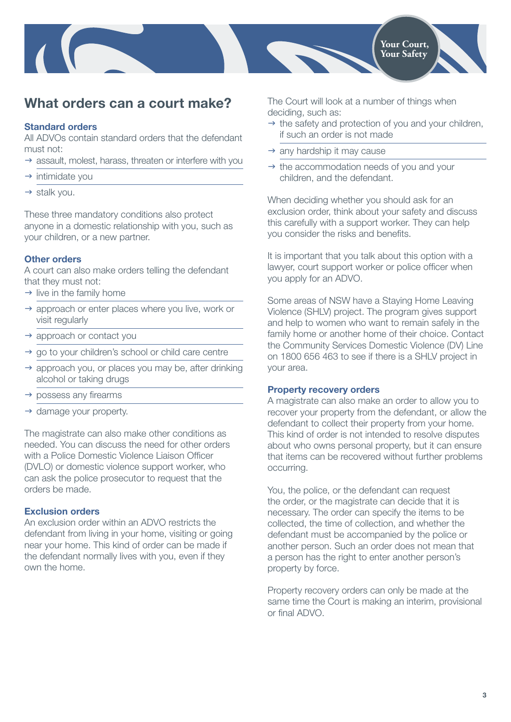

# **What orders can a court make?**

### **Standard orders**

All ADVOs contain standard orders that the defendant must not:

- $\rightarrow$  assault, molest, harass, threaten or interfere with you
- $\rightarrow$  intimidate you
- $\rightarrow$  stalk you.

These three mandatory conditions also protect anyone in a domestic relationship with you, such as your children, or a new partner.

### **Other orders**

A court can also make orders telling the defendant that they must not:

- $\rightarrow$  live in the family home
- $\rightarrow$  approach or enter places where you live, work or visit regularly
- $\rightarrow$  approach or contact you
- go to your children's school or child care centre
- $\rightarrow$  approach you, or places you may be, after drinking alcohol or taking drugs
- $\rightarrow$  possess any firearms
- damage your property.

The magistrate can also make other conditions as needed. You can discuss the need for other orders with a Police Domestic Violence Liaison Officer (DVLO) or domestic violence support worker, who can ask the police prosecutor to request that the orders be made.

### **Exclusion orders**

An exclusion order within an ADVO restricts the defendant from living in your home, visiting or going near your home. This kind of order can be made if the defendant normally lives with you, even if they own the home.

The Court will look at a number of things when deciding, such as:

- $\rightarrow$  the safety and protection of you and your children, if such an order is not made
- $\rightarrow$  any hardship it may cause
- $\rightarrow$  the accommodation needs of you and your children, and the defendant.

When deciding whether you should ask for an exclusion order, think about your safety and discuss this carefully with a support worker. They can help you consider the risks and benefits.

It is important that you talk about this option with a lawyer, court support worker or police officer when you apply for an ADVO.

Some areas of NSW have a Staying Home Leaving Violence (SHLV) project. The program gives support and help to women who want to remain safely in the family home or another home of their choice. Contact the Community Services Domestic Violence (DV) Line on 1800 656 463 to see if there is a SHLV project in your area.

#### **Property recovery orders**

A magistrate can also make an order to allow you to recover your property from the defendant, or allow the defendant to collect their property from your home. This kind of order is not intended to resolve disputes about who owns personal property, but it can ensure that items can be recovered without further problems occurring.

You, the police, or the defendant can request the order, or the magistrate can decide that it is necessary. The order can specify the items to be collected, the time of collection, and whether the defendant must be accompanied by the police or another person. Such an order does not mean that a person has the right to enter another person's property by force.

Property recovery orders can only be made at the same time the Court is making an interim, provisional or final ADVO.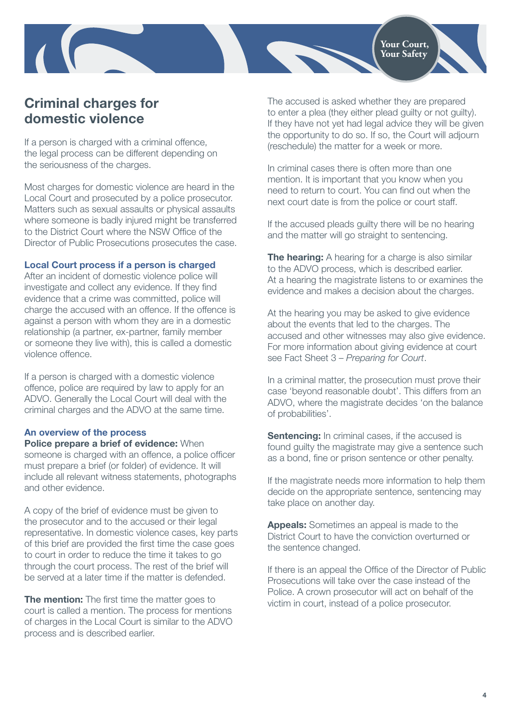

# **Criminal charges for domestic violence**

If a person is charged with a criminal offence, the legal process can be different depending on the seriousness of the charges.

Most charges for domestic violence are heard in the Local Court and prosecuted by a police prosecutor. Matters such as sexual assaults or physical assaults where someone is badly injured might be transferred to the District Court where the NSW Office of the Director of Public Prosecutions prosecutes the case.

### **Local Court process if a person is charged**

After an incident of domestic violence police will investigate and collect any evidence. If they find evidence that a crime was committed, police will charge the accused with an offence. If the offence is against a person with whom they are in a domestic relationship (a partner, ex-partner, family member or someone they live with), this is called a domestic violence offence.

If a person is charged with a domestic violence offence, police are required by law to apply for an ADVO. Generally the Local Court will deal with the criminal charges and the ADVO at the same time.

#### **An overview of the process**

**Police prepare a brief of evidence:** When someone is charged with an offence, a police officer must prepare a brief (or folder) of evidence. It will include all relevant witness statements, photographs and other evidence.

A copy of the brief of evidence must be given to the prosecutor and to the accused or their legal representative. In domestic violence cases, key parts of this brief are provided the first time the case goes to court in order to reduce the time it takes to go through the court process. The rest of the brief will be served at a later time if the matter is defended.

**The mention:** The first time the matter goes to court is called a mention. The process for mentions of charges in the Local Court is similar to the ADVO process and is described earlier.

The accused is asked whether they are prepared to enter a plea (they either plead guilty or not guilty). If they have not yet had legal advice they will be given the opportunity to do so. If so, the Court will adjourn (reschedule) the matter for a week or more.

In criminal cases there is often more than one mention. It is important that you know when you need to return to court. You can find out when the next court date is from the police or court staff.

If the accused pleads guilty there will be no hearing and the matter will go straight to sentencing.

**The hearing:** A hearing for a charge is also similar to the ADVO process, which is described earlier. At a hearing the magistrate listens to or examines the evidence and makes a decision about the charges.

At the hearing you may be asked to give evidence about the events that led to the charges. The accused and other witnesses may also give evidence. For more information about giving evidence at court see Fact Sheet 3 – *Preparing for Court*.

In a criminal matter, the prosecution must prove their case 'beyond reasonable doubt'. This differs from an ADVO, where the magistrate decides 'on the balance of probabilities'.

**Sentencing:** In criminal cases, if the accused is found guilty the magistrate may give a sentence such as a bond, fine or prison sentence or other penalty.

If the magistrate needs more information to help them decide on the appropriate sentence, sentencing may take place on another day.

**Appeals:** Sometimes an appeal is made to the District Court to have the conviction overturned or the sentence changed.

If there is an appeal the Office of the Director of Public Prosecutions will take over the case instead of the Police. A crown prosecutor will act on behalf of the victim in court, instead of a police prosecutor.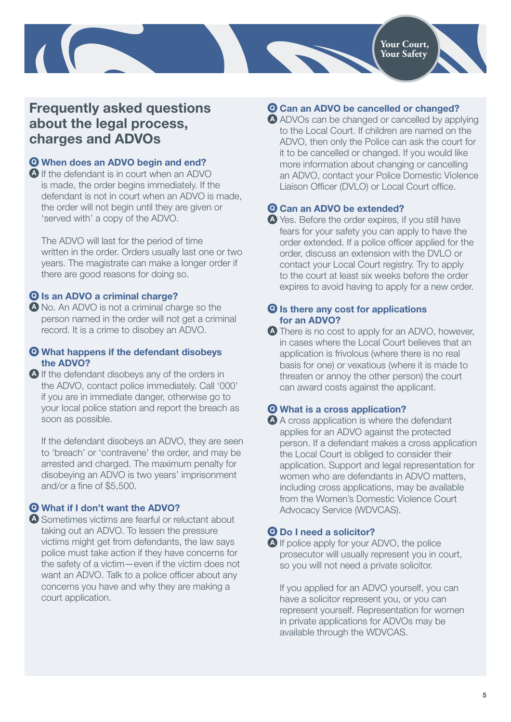# **Frequently asked questions about the legal process, charges and ADVOs**

## **Q When does an ADVO begin and end?**

**A** If the defendant is in court when an ADVO is made, the order begins immediately. If the defendant is not in court when an ADVO is made, the order will not begin until they are given or 'served with' a copy of the ADVO.

The ADVO will last for the period of time written in the order. Orders usually last one or two years. The magistrate can make a longer order if there are good reasons for doing so.

### **Q Is an ADVO a criminal charge?**

**A** No. An ADVO is not a criminal charge so the person named in the order will not get a criminal record. It is a crime to disobey an ADVO.

### **Q What happens if the defendant disobeys the ADVO?**

**A** If the defendant disobeys any of the orders in the ADVO, contact police immediately. Call '000' if you are in immediate danger, otherwise go to your local police station and report the breach as soon as possible.

If the defendant disobeys an ADVO, they are seen to 'breach' or 'contravene' the order, and may be arrested and charged. The maximum penalty for disobeying an ADVO is two years' imprisonment and/or a fine of \$5,500.

### **Q What if I don't want the ADVO?**

**A** Sometimes victims are fearful or reluctant about taking out an ADVO. To lessen the pressure victims might get from defendants, the law says police must take action if they have concerns for the safety of a victim—even if the victim does not want an ADVO. Talk to a police officer about any concerns you have and why they are making a court application.

## **Q Can an ADVO be cancelled or changed?**

**A** ADVOs can be changed or cancelled by applying to the Local Court. If children are named on the ADVO, then only the Police can ask the court for it to be cancelled or changed. If you would like more information about changing or cancelling an ADVO, contact your Police Domestic Violence Liaison Officer (DVLO) or Local Court office.

### **Q Can an ADVO be extended?**

**A** Yes. Before the order expires, if you still have fears for your safety you can apply to have the order extended. If a police officer applied for the order, discuss an extension with the DVLO or contact your Local Court registry. Try to apply to the court at least six weeks before the order expires to avoid having to apply for a new order.

#### **Q Is there any cost for applications for an ADVO?**

**A** There is no cost to apply for an ADVO, however, in cases where the Local Court believes that an application is frivolous (where there is no real basis for one) or vexatious (where it is made to threaten or annoy the other person) the court can award costs against the applicant.

## **Q What is a cross application?**

**A** A cross application is where the defendant applies for an ADVO against the protected person. If a defendant makes a cross application the Local Court is obliged to consider their application. Support and legal representation for women who are defendants in ADVO matters, including cross applications, may be available from the Women's Domestic Violence Court Advocacy Service (WDVCAS).

### **Q Do I need a solicitor?**

**A** If police apply for your ADVO, the police prosecutor will usually represent you in court, so you will not need a private solicitor.

If you applied for an ADVO yourself, you can have a solicitor represent you, or you can represent yourself. Representation for women in private applications for ADVOs may be available through the WDVCAS.